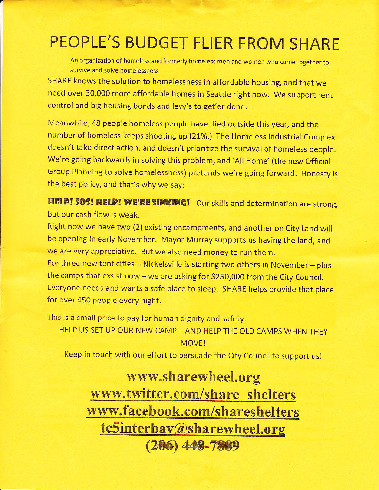# PEOPLE'S BUDGET FLIER FROM SHARE

An organization of homeless and formerly homeless men and women who come together to survive and solve homelessness

SHARE knows the solution to homelessness in affordable housing, and that we need over 30,000 more affordable homes in Seattle right now. We support rent control and big housing bonds and lew's to get'er done.

Meanwhile,43 people homeless people have died outside this year, and the number of homeless keeps shooting up (21%.) The Homeless Industrial Complex doesn't take direct action, and doesn't prioritize the survival of homeless people. We're going backwards in solving this problem, and 'All Home' (the new Official Group Planning to solve homelessness) pretends we're going forward. Honesty is the best policy, and that's why we say:

HELD! SOS! HELD! WE'RE SINKING! Our skills and determination are strong, but our cash flow is weak.

Right now we have two (2) existing encampments, and another on City Land will be opening in early November. Mayor Murray supports us having the land, and we are very appreciative. But we also need money to run them.

For three new tent cities - Nickelsville is starting two others in November - plus the camps that exsist now - we are asking for \$250,000 from the City Council. Everyone needs and wants a safe place to sleep. SHARE helps provide that place for over 450 people every night.

This is a small price to pay for human dignity and safety.

HELP US SET UP OUR NEW CAMP - AND HELP THE OLD CAMPS WHEN THEY **MOVE!** 

Keep in touch with our effort to persuade the City Council to support us!

## www.sharewheel.org www.twitter.com/share shelters www.facebook. com/shareshelters tc5interbay@sharewheel.org  $(206)$  448-7889